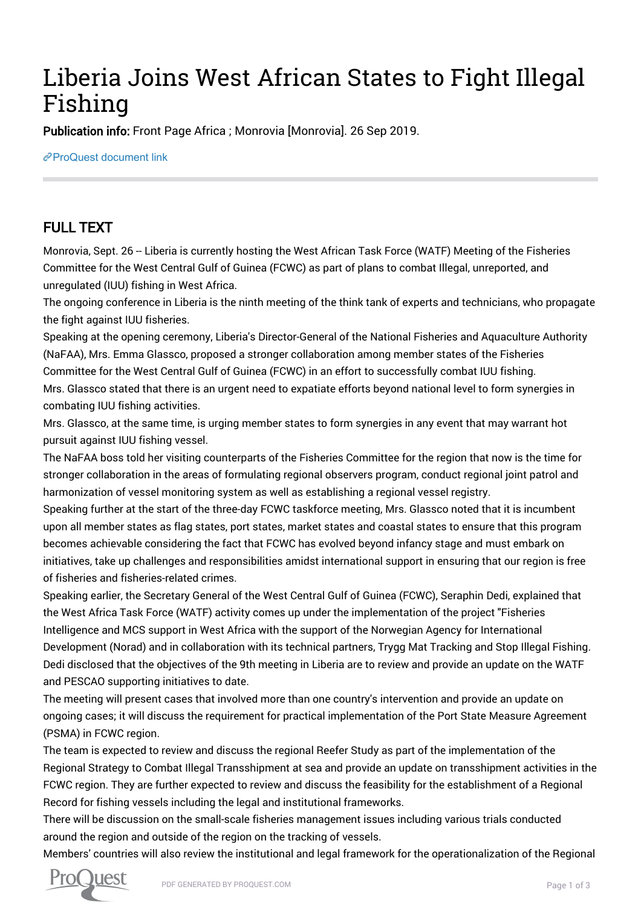## Liberia Joins West African States to Fight Illegal Fishing

Publication info: Front Page Africa ; Monrovia [Monrovia]. 26 Sep 2019.

[ProQuest document link](http://132.174.250.227/newspapers/liberia-joins-west-african-states-fight-illegal/docview/2297036394/se-2?accountid=8394)

## FULL TEXT

Monrovia, Sept. 26 -- Liberia is currently hosting the West African Task Force (WATF) Meeting of the Fisheries Committee for the West Central Gulf of Guinea (FCWC) as part of plans to combat Illegal, unreported, and unregulated (IUU) fishing in West Africa.

The ongoing conference in Liberia is the ninth meeting of the think tank of experts and technicians, who propagate the fight against IUU fisheries.

Speaking at the opening ceremony, Liberia's Director-General of the National Fisheries and Aquaculture Authority (NaFAA), Mrs. Emma Glassco, proposed a stronger collaboration among member states of the Fisheries Committee for the West Central Gulf of Guinea (FCWC) in an effort to successfully combat IUU fishing. Mrs. Glassco stated that there is an urgent need to expatiate efforts beyond national level to form synergies in combating IUU fishing activities.

Mrs. Glassco, at the same time, is urging member states to form synergies in any event that may warrant hot pursuit against IUU fishing vessel.

The NaFAA boss told her visiting counterparts of the Fisheries Committee for the region that now is the time for stronger collaboration in the areas of formulating regional observers program, conduct regional joint patrol and harmonization of vessel monitoring system as well as establishing a regional vessel registry.

Speaking further at the start of the three-day FCWC taskforce meeting, Mrs. Glassco noted that it is incumbent upon all member states as flag states, port states, market states and coastal states to ensure that this program becomes achievable considering the fact that FCWC has evolved beyond infancy stage and must embark on initiatives, take up challenges and responsibilities amidst international support in ensuring that our region is free of fisheries and fisheries-related crimes.

Speaking earlier, the Secretary General of the West Central Gulf of Guinea (FCWC), Seraphin Dedi, explained that the West Africa Task Force (WATF) activity comes up under the implementation of the project "Fisheries Intelligence and MCS support in West Africa with the support of the Norwegian Agency for International Development (Norad) and in collaboration with its technical partners, Trygg Mat Tracking and Stop Illegal Fishing. Dedi disclosed that the objectives of the 9th meeting in Liberia are to review and provide an update on the WATF and PESCAO supporting initiatives to date.

The meeting will present cases that involved more than one country's intervention and provide an update on ongoing cases; it will discuss the requirement for practical implementation of the Port State Measure Agreement (PSMA) in FCWC region.

The team is expected to review and discuss the regional Reefer Study as part of the implementation of the Regional Strategy to Combat Illegal Transshipment at sea and provide an update on transshipment activities in the FCWC region. They are further expected to review and discuss the feasibility for the establishment of a Regional Record for fishing vessels including the legal and institutional frameworks.

There will be discussion on the small-scale fisheries management issues including various trials conducted around the region and outside of the region on the tracking of vessels.

Members' countries will also review the institutional and legal framework for the operationalization of the Regional

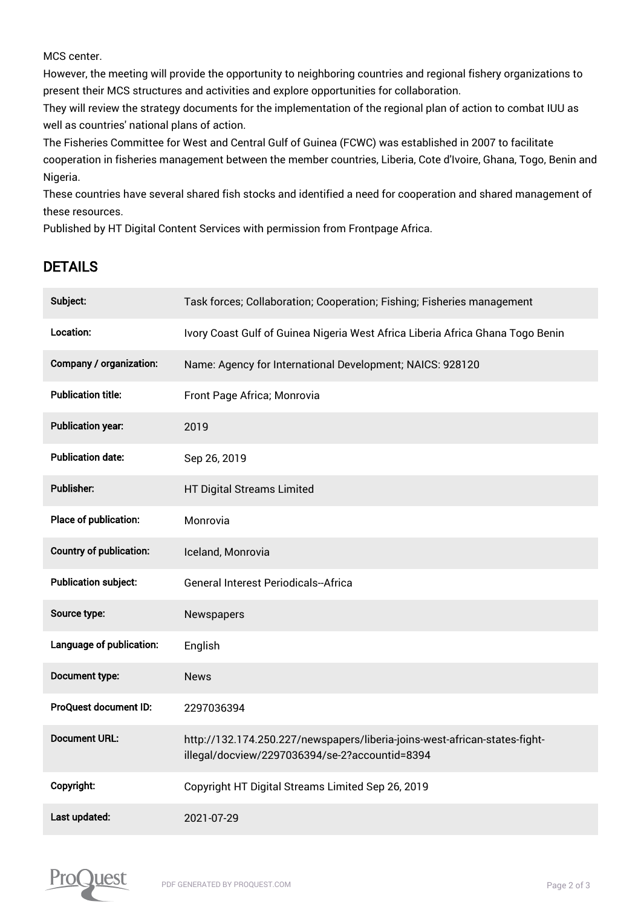MCS center.

However, the meeting will provide the opportunity to neighboring countries and regional fishery organizations to present their MCS structures and activities and explore opportunities for collaboration.

They will review the strategy documents for the implementation of the regional plan of action to combat IUU as well as countries' national plans of action.

The Fisheries Committee for West and Central Gulf of Guinea (FCWC) was established in 2007 to facilitate cooperation in fisheries management between the member countries, Liberia, Cote d'Ivoire, Ghana, Togo, Benin and Nigeria.

These countries have several shared fish stocks and identified a need for cooperation and shared management of these resources.

Published by HT Digital Content Services with permission from Frontpage Africa.

## DETAILS

| Subject:                       | Task forces; Collaboration; Cooperation; Fishing; Fisheries management                                                       |
|--------------------------------|------------------------------------------------------------------------------------------------------------------------------|
| Location:                      | Ivory Coast Gulf of Guinea Nigeria West Africa Liberia Africa Ghana Togo Benin                                               |
| Company / organization:        | Name: Agency for International Development; NAICS: 928120                                                                    |
| <b>Publication title:</b>      | Front Page Africa; Monrovia                                                                                                  |
| <b>Publication year:</b>       | 2019                                                                                                                         |
| <b>Publication date:</b>       | Sep 26, 2019                                                                                                                 |
| <b>Publisher:</b>              | HT Digital Streams Limited                                                                                                   |
| Place of publication:          | Monrovia                                                                                                                     |
| <b>Country of publication:</b> | Iceland, Monrovia                                                                                                            |
| <b>Publication subject:</b>    | <b>General Interest Periodicals--Africa</b>                                                                                  |
| Source type:                   | Newspapers                                                                                                                   |
| Language of publication:       | English                                                                                                                      |
| Document type:                 | <b>News</b>                                                                                                                  |
| <b>ProQuest document ID:</b>   | 2297036394                                                                                                                   |
| <b>Document URL:</b>           | http://132.174.250.227/newspapers/liberia-joins-west-african-states-fight-<br>illegal/docview/2297036394/se-2?accountid=8394 |
| Copyright:                     | Copyright HT Digital Streams Limited Sep 26, 2019                                                                            |
| Last updated:                  | 2021-07-29                                                                                                                   |